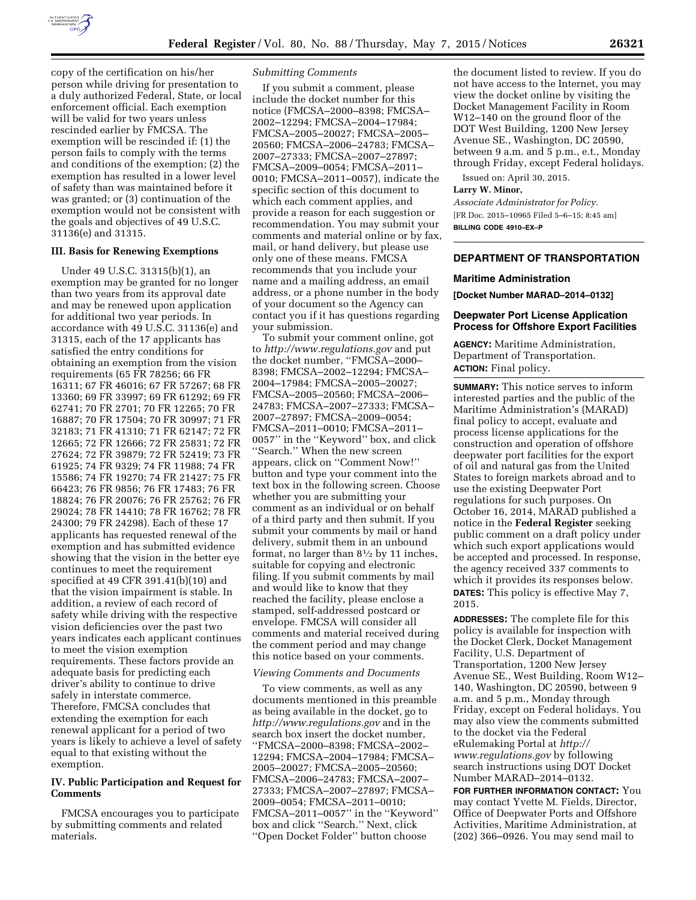

copy of the certification on his/her person while driving for presentation to a duly authorized Federal, State, or local enforcement official. Each exemption will be valid for two years unless rescinded earlier by FMCSA. The exemption will be rescinded if: (1) the person fails to comply with the terms and conditions of the exemption; (2) the exemption has resulted in a lower level of safety than was maintained before it was granted; or (3) continuation of the exemption would not be consistent with the goals and objectives of 49 U.S.C. 31136(e) and 31315.

## **III. Basis for Renewing Exemptions**

Under 49 U.S.C. 31315(b)(1), an exemption may be granted for no longer than two years from its approval date and may be renewed upon application for additional two year periods. In accordance with 49 U.S.C. 31136(e) and 31315, each of the 17 applicants has satisfied the entry conditions for obtaining an exemption from the vision requirements (65 FR 78256; 66 FR 16311; 67 FR 46016; 67 FR 57267; 68 FR 13360; 69 FR 33997; 69 FR 61292; 69 FR 62741; 70 FR 2701; 70 FR 12265; 70 FR 16887; 70 FR 17504; 70 FR 30997; 71 FR 32183; 71 FR 41310; 71 FR 62147; 72 FR 12665; 72 FR 12666; 72 FR 25831; 72 FR 27624; 72 FR 39879; 72 FR 52419; 73 FR 61925; 74 FR 9329; 74 FR 11988; 74 FR 15586; 74 FR 19270; 74 FR 21427; 75 FR 66423; 76 FR 9856; 76 FR 17483; 76 FR 18824; 76 FR 20076; 76 FR 25762; 76 FR 29024; 78 FR 14410; 78 FR 16762; 78 FR 24300; 79 FR 24298). Each of these 17 applicants has requested renewal of the exemption and has submitted evidence showing that the vision in the better eye continues to meet the requirement specified at 49 CFR 391.41(b)(10) and that the vision impairment is stable. In addition, a review of each record of safety while driving with the respective vision deficiencies over the past two years indicates each applicant continues to meet the vision exemption requirements. These factors provide an adequate basis for predicting each driver's ability to continue to drive safely in interstate commerce. Therefore, FMCSA concludes that extending the exemption for each renewal applicant for a period of two years is likely to achieve a level of safety equal to that existing without the exemption.

## **IV. Public Participation and Request for Comments**

FMCSA encourages you to participate by submitting comments and related materials.

### *Submitting Comments*

If you submit a comment, please include the docket number for this notice (FMCSA–2000–8398; FMCSA– 2002–12294; FMCSA–2004–17984; FMCSA–2005–20027; FMCSA–2005– 20560; FMCSA–2006–24783; FMCSA– 2007–27333; FMCSA–2007–27897; FMCSA–2009–0054; FMCSA–2011– 0010; FMCSA–2011–0057), indicate the specific section of this document to which each comment applies, and provide a reason for each suggestion or recommendation. You may submit your comments and material online or by fax, mail, or hand delivery, but please use only one of these means. FMCSA recommends that you include your name and a mailing address, an email address, or a phone number in the body of your document so the Agency can contact you if it has questions regarding your submission.

To submit your comment online, got to *<http://www.regulations.gov>*and put the docket number, ''FMCSA–2000– 8398; FMCSA–2002–12294; FMCSA– 2004–17984; FMCSA–2005–20027; FMCSA–2005–20560; FMCSA–2006– 24783; FMCSA–2007–27333; FMCSA– 2007–27897; FMCSA–2009–0054; FMCSA–2011–0010; FMCSA–2011– 0057'' in the ''Keyword'' box, and click ''Search.'' When the new screen appears, click on ''Comment Now!'' button and type your comment into the text box in the following screen. Choose whether you are submitting your comment as an individual or on behalf of a third party and then submit. If you submit your comments by mail or hand delivery, submit them in an unbound format, no larger than 81⁄2 by 11 inches, suitable for copying and electronic filing. If you submit comments by mail and would like to know that they reached the facility, please enclose a stamped, self-addressed postcard or envelope. FMCSA will consider all comments and material received during the comment period and may change this notice based on your comments.

#### *Viewing Comments and Documents*

To view comments, as well as any documents mentioned in this preamble as being available in the docket, go to *<http://www.regulations.gov>* and in the search box insert the docket number, ''FMCSA–2000–8398; FMCSA–2002– 12294; FMCSA–2004–17984; FMCSA– 2005–20027; FMCSA–2005–20560; FMCSA–2006–24783; FMCSA–2007– 27333; FMCSA–2007–27897; FMCSA– 2009–0054; FMCSA–2011–0010; FMCSA–2011–0057'' in the ''Keyword'' box and click ''Search.'' Next, click ''Open Docket Folder'' button choose

the document listed to review. If you do not have access to the Internet, you may view the docket online by visiting the Docket Management Facility in Room W12–140 on the ground floor of the DOT West Building, 1200 New Jersey Avenue SE., Washington, DC 20590, between 9 a.m. and 5 p.m., e.t., Monday through Friday, except Federal holidays.

Issued on: April 30, 2015.

#### **Larry W. Minor,**

*Associate Administrator for Policy.*  [FR Doc. 2015–10965 Filed 5–6–15; 8:45 am] **BILLING CODE 4910–EX–P** 

# **DEPARTMENT OF TRANSPORTATION**

#### **Maritime Administration**

**[Docket Number MARAD–2014–0132]** 

# **Deepwater Port License Application Process for Offshore Export Facilities**

**AGENCY:** Maritime Administration, Department of Transportation. **ACTION:** Final policy.

**SUMMARY:** This notice serves to inform interested parties and the public of the Maritime Administration's (MARAD) final policy to accept, evaluate and process license applications for the construction and operation of offshore deepwater port facilities for the export of oil and natural gas from the United States to foreign markets abroad and to use the existing Deepwater Port regulations for such purposes. On October 16, 2014, MARAD published a notice in the **Federal Register** seeking public comment on a draft policy under which such export applications would be accepted and processed. In response, the agency received 337 comments to which it provides its responses below. **DATES:** This policy is effective May 7, 2015.

**ADDRESSES:** The complete file for this policy is available for inspection with the Docket Clerk, Docket Management Facility, U.S. Department of Transportation, 1200 New Jersey Avenue SE., West Building, Room W12– 140, Washington, DC 20590, between 9 a.m. and 5 p.m., Monday through Friday, except on Federal holidays. You may also view the comments submitted to the docket via the Federal eRulemaking Portal at *[http://](http://www.regulations.gov) [www.regulations.gov](http://www.regulations.gov)* by following search instructions using DOT Docket Number MARAD–2014–0132.

**FOR FURTHER INFORMATION CONTACT:** You may contact Yvette M. Fields, Director, Office of Deepwater Ports and Offshore Activities, Maritime Administration, at (202) 366–0926. You may send mail to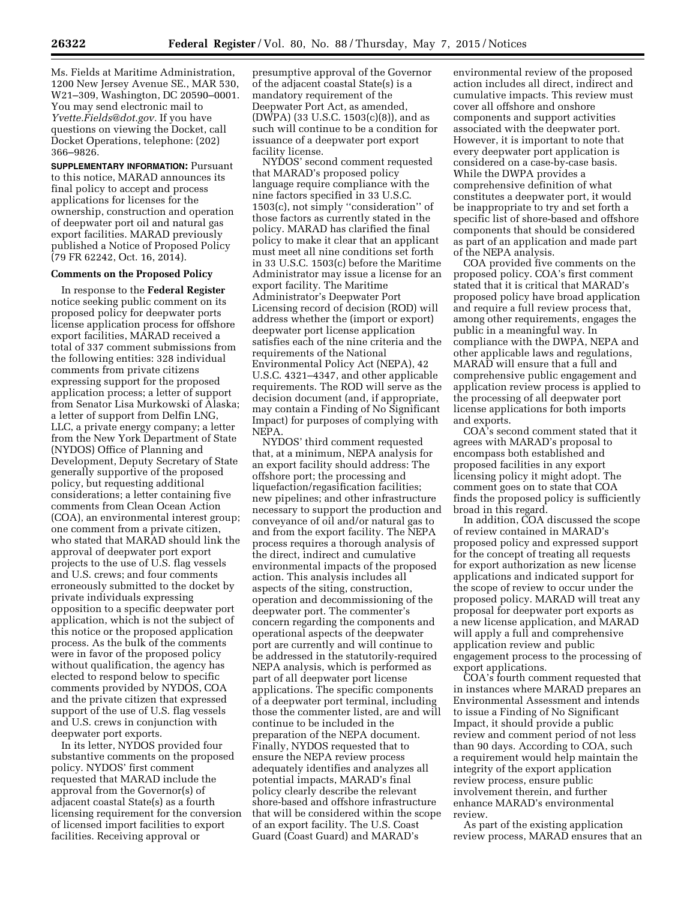Ms. Fields at Maritime Administration, 1200 New Jersey Avenue SE., MAR 530, W21–309, Washington, DC 20590–0001. You may send electronic mail to *[Yvette.Fields@dot.gov.](mailto:Yvette.Fields@dot.gov)* If you have questions on viewing the Docket, call Docket Operations, telephone: (202) 366–9826.

**SUPPLEMENTARY INFORMATION:** Pursuant to this notice, MARAD announces its final policy to accept and process applications for licenses for the ownership, construction and operation of deepwater port oil and natural gas export facilities. MARAD previously published a Notice of Proposed Policy (79 FR 62242, Oct. 16, 2014).

## **Comments on the Proposed Policy**

In response to the **Federal Register**  notice seeking public comment on its proposed policy for deepwater ports license application process for offshore export facilities, MARAD received a total of 337 comment submissions from the following entities: 328 individual comments from private citizens expressing support for the proposed application process; a letter of support from Senator Lisa Murkowski of Alaska; a letter of support from Delfin LNG, LLC, a private energy company; a letter from the New York Department of State (NYDOS) Office of Planning and Development, Deputy Secretary of State generally supportive of the proposed policy, but requesting additional considerations; a letter containing five comments from Clean Ocean Action (COA), an environmental interest group; one comment from a private citizen, who stated that MARAD should link the approval of deepwater port export projects to the use of U.S. flag vessels and U.S. crews; and four comments erroneously submitted to the docket by private individuals expressing opposition to a specific deepwater port application, which is not the subject of this notice or the proposed application process. As the bulk of the comments were in favor of the proposed policy without qualification, the agency has elected to respond below to specific comments provided by NYDOS, COA and the private citizen that expressed support of the use of U.S. flag vessels and U.S. crews in conjunction with deepwater port exports.

In its letter, NYDOS provided four substantive comments on the proposed policy. NYDOS' first comment requested that MARAD include the approval from the Governor(s) of adjacent coastal State(s) as a fourth licensing requirement for the conversion of licensed import facilities to export facilities. Receiving approval or

presumptive approval of the Governor of the adjacent coastal State(s) is a mandatory requirement of the Deepwater Port Act, as amended, (DWPA) (33 U.S.C. 1503(c)(8)), and as such will continue to be a condition for issuance of a deepwater port export facility license.

NYDOS' second comment requested that MARAD's proposed policy language require compliance with the nine factors specified in 33 U.S.C. 1503(c), not simply ''consideration'' of those factors as currently stated in the policy. MARAD has clarified the final policy to make it clear that an applicant must meet all nine conditions set forth in 33 U.S.C. 1503(c) before the Maritime Administrator may issue a license for an export facility. The Maritime Administrator's Deepwater Port Licensing record of decision (ROD) will address whether the (import or export) deepwater port license application satisfies each of the nine criteria and the requirements of the National Environmental Policy Act (NEPA), 42 U.S.C. 4321–4347, and other applicable requirements. The ROD will serve as the decision document (and, if appropriate, may contain a Finding of No Significant Impact) for purposes of complying with NEPA.

NYDOS' third comment requested that, at a minimum, NEPA analysis for an export facility should address: The offshore port; the processing and liquefaction/regasification facilities; new pipelines; and other infrastructure necessary to support the production and conveyance of oil and/or natural gas to and from the export facility. The NEPA process requires a thorough analysis of the direct, indirect and cumulative environmental impacts of the proposed action. This analysis includes all aspects of the siting, construction, operation and decommissioning of the deepwater port. The commenter's concern regarding the components and operational aspects of the deepwater port are currently and will continue to be addressed in the statutorily-required NEPA analysis, which is performed as part of all deepwater port license applications. The specific components of a deepwater port terminal, including those the commenter listed, are and will continue to be included in the preparation of the NEPA document. Finally, NYDOS requested that to ensure the NEPA review process adequately identifies and analyzes all potential impacts, MARAD's final policy clearly describe the relevant shore-based and offshore infrastructure that will be considered within the scope of an export facility. The U.S. Coast Guard (Coast Guard) and MARAD's

environmental review of the proposed action includes all direct, indirect and cumulative impacts. This review must cover all offshore and onshore components and support activities associated with the deepwater port. However, it is important to note that every deepwater port application is considered on a case-by-case basis. While the DWPA provides a comprehensive definition of what constitutes a deepwater port, it would be inappropriate to try and set forth a specific list of shore-based and offshore components that should be considered as part of an application and made part of the NEPA analysis.

COA provided five comments on the proposed policy. COA's first comment stated that it is critical that MARAD's proposed policy have broad application and require a full review process that, among other requirements, engages the public in a meaningful way. In compliance with the DWPA, NEPA and other applicable laws and regulations, MARAD will ensure that a full and comprehensive public engagement and application review process is applied to the processing of all deepwater port license applications for both imports and exports.

COA's second comment stated that it agrees with MARAD's proposal to encompass both established and proposed facilities in any export licensing policy it might adopt. The comment goes on to state that COA finds the proposed policy is sufficiently broad in this regard.

In addition, COA discussed the scope of review contained in MARAD's proposed policy and expressed support for the concept of treating all requests for export authorization as new license applications and indicated support for the scope of review to occur under the proposed policy. MARAD will treat any proposal for deepwater port exports as a new license application, and MARAD will apply a full and comprehensive application review and public engagement process to the processing of export applications.

COA's fourth comment requested that in instances where MARAD prepares an Environmental Assessment and intends to issue a Finding of No Significant Impact, it should provide a public review and comment period of not less than 90 days. According to COA, such a requirement would help maintain the integrity of the export application review process, ensure public involvement therein, and further enhance MARAD's environmental review.

As part of the existing application review process, MARAD ensures that an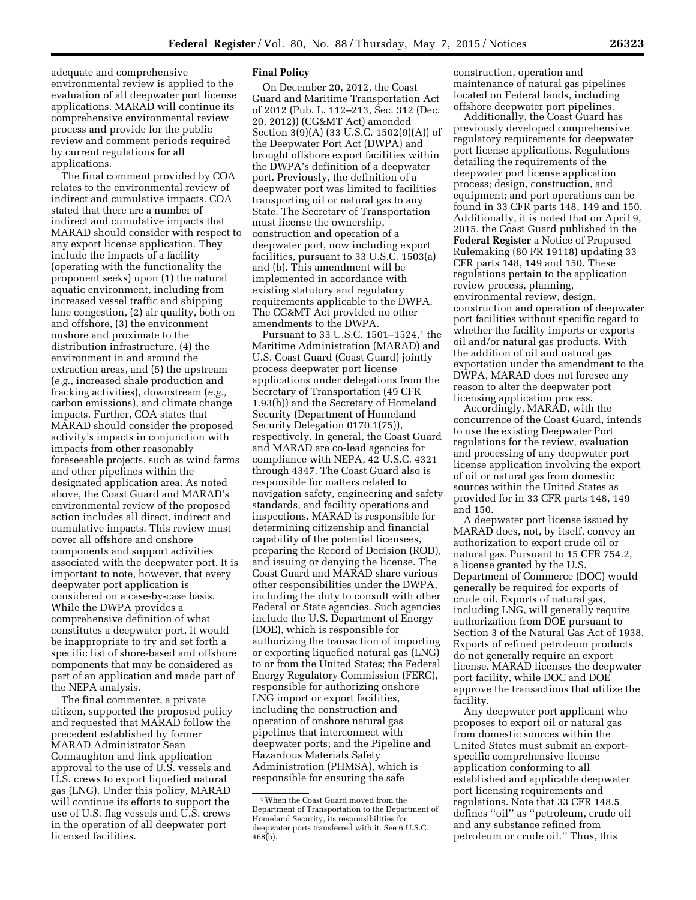adequate and comprehensive environmental review is applied to the evaluation of all deepwater port license applications. MARAD will continue its comprehensive environmental review process and provide for the public review and comment periods required by current regulations for all applications.

The final comment provided by COA relates to the environmental review of indirect and cumulative impacts. COA stated that there are a number of indirect and cumulative impacts that MARAD should consider with respect to any export license application. They include the impacts of a facility (operating with the functionality the proponent seeks) upon (1) the natural aquatic environment, including from increased vessel traffic and shipping lane congestion, (2) air quality, both on and offshore, (3) the environment onshore and proximate to the distribution infrastructure, (4) the environment in and around the extraction areas, and (5) the upstream (*e.g.,* increased shale production and fracking activities), downstream (*e.g.,*  carbon emissions), and climate change impacts. Further, COA states that MARAD should consider the proposed activity's impacts in conjunction with impacts from other reasonably foreseeable projects, such as wind farms and other pipelines within the designated application area. As noted above, the Coast Guard and MARAD's environmental review of the proposed action includes all direct, indirect and cumulative impacts. This review must cover all offshore and onshore components and support activities associated with the deepwater port. It is important to note, however, that every deepwater port application is considered on a case-by-case basis. While the DWPA provides a comprehensive definition of what constitutes a deepwater port, it would be inappropriate to try and set forth a specific list of shore-based and offshore components that may be considered as part of an application and made part of the NEPA analysis.

The final commenter, a private citizen, supported the proposed policy and requested that MARAD follow the precedent established by former MARAD Administrator Sean Connaughton and link application approval to the use of U.S. vessels and U.S. crews to export liquefied natural gas (LNG). Under this policy, MARAD will continue its efforts to support the use of U.S. flag vessels and U.S. crews in the operation of all deepwater port licensed facilities.

## **Final Policy**

On December 20, 2012, the Coast Guard and Maritime Transportation Act of 2012 (Pub. L. 112–213, Sec. 312 (Dec. 20, 2012)) (CG&MT Act) amended Section 3(9)(A) (33 U.S.C. 1502(9)(A)) of the Deepwater Port Act (DWPA) and brought offshore export facilities within the DWPA's definition of a deepwater port. Previously, the definition of a deepwater port was limited to facilities transporting oil or natural gas to any State. The Secretary of Transportation must license the ownership, construction and operation of a deepwater port, now including export facilities, pursuant to 33 U.S.C. 1503(a) and (b). This amendment will be implemented in accordance with existing statutory and regulatory requirements applicable to the DWPA. The CG&MT Act provided no other amendments to the DWPA.

Pursuant to 33 U.S.C. 1501–1524,1 the Maritime Administration (MARAD) and U.S. Coast Guard (Coast Guard) jointly process deepwater port license applications under delegations from the Secretary of Transportation (49 CFR 1.93(h)) and the Secretary of Homeland Security (Department of Homeland Security Delegation 0170.1(75)), respectively. In general, the Coast Guard and MARAD are co-lead agencies for compliance with NEPA, 42 U.S.C. 4321 through 4347. The Coast Guard also is responsible for matters related to navigation safety, engineering and safety standards, and facility operations and inspections. MARAD is responsible for determining citizenship and financial capability of the potential licensees, preparing the Record of Decision (ROD), and issuing or denying the license. The Coast Guard and MARAD share various other responsibilities under the DWPA, including the duty to consult with other Federal or State agencies. Such agencies include the U.S. Department of Energy (DOE), which is responsible for authorizing the transaction of importing or exporting liquefied natural gas (LNG) to or from the United States; the Federal Energy Regulatory Commission (FERC), responsible for authorizing onshore LNG import or export facilities, including the construction and operation of onshore natural gas pipelines that interconnect with deepwater ports; and the Pipeline and Hazardous Materials Safety Administration (PHMSA), which is responsible for ensuring the safe

construction, operation and maintenance of natural gas pipelines located on Federal lands, including offshore deepwater port pipelines.

Additionally, the Coast Guard has previously developed comprehensive regulatory requirements for deepwater port license applications. Regulations detailing the requirements of the deepwater port license application process; design, construction, and equipment; and port operations can be found in 33 CFR parts 148, 149 and 150. Additionally, it is noted that on April 9, 2015, the Coast Guard published in the **Federal Register** a Notice of Proposed Rulemaking (80 FR 19118) updating 33 CFR parts 148, 149 and 150. These regulations pertain to the application review process, planning, environmental review, design, construction and operation of deepwater port facilities without specific regard to whether the facility imports or exports oil and/or natural gas products. With the addition of oil and natural gas exportation under the amendment to the DWPA, MARAD does not foresee any reason to alter the deepwater port licensing application process.

Accordingly, MARAD, with the concurrence of the Coast Guard, intends to use the existing Deepwater Port regulations for the review, evaluation and processing of any deepwater port license application involving the export of oil or natural gas from domestic sources within the United States as provided for in 33 CFR parts 148, 149 and 150.

A deepwater port license issued by MARAD does, not, by itself, convey an authorization to export crude oil or natural gas. Pursuant to 15 CFR 754.2, a license granted by the U.S. Department of Commerce (DOC) would generally be required for exports of crude oil. Exports of natural gas, including LNG, will generally require authorization from DOE pursuant to Section 3 of the Natural Gas Act of 1938. Exports of refined petroleum products do not generally require an export license. MARAD licenses the deepwater port facility, while DOC and DOE approve the transactions that utilize the facility.

Any deepwater port applicant who proposes to export oil or natural gas from domestic sources within the United States must submit an exportspecific comprehensive license application conforming to all established and applicable deepwater port licensing requirements and regulations. Note that 33 CFR 148.5 defines ''oil'' as ''petroleum, crude oil and any substance refined from petroleum or crude oil.'' Thus, this

<sup>1</sup>When the Coast Guard moved from the Department of Transportation to the Department of Homeland Security, its responsibilities for deepwater ports transferred with it. See 6 U.S.C. 468(b).